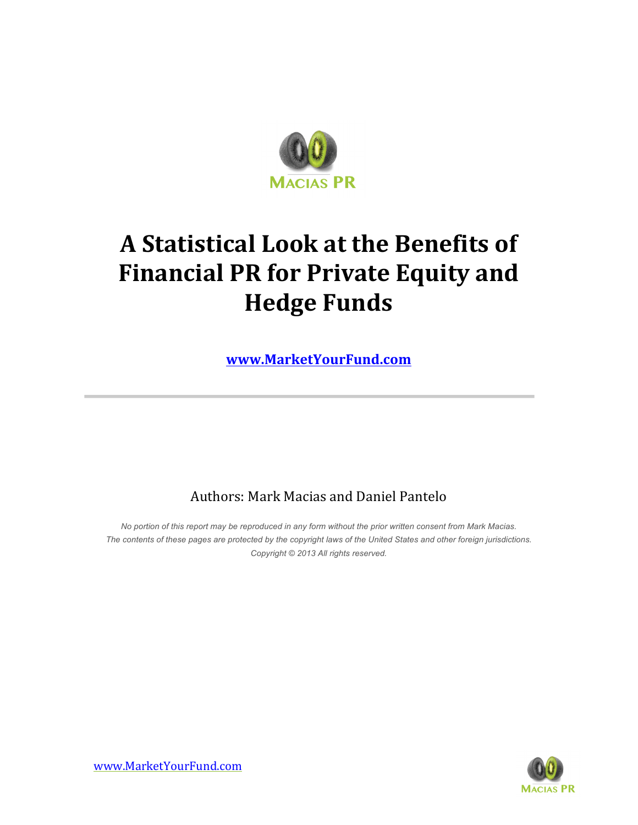

# **A Statistical Look at the Benefits of Financial PR for Private Equity and Hedge Funds**

**www.MarketYourFund.com**

### Authors: Mark Macias and Daniel Pantelo

*No portion of this report may be reproduced in any form without the prior written consent from Mark Macias. The contents of these pages are protected by the copyright laws of the United States and other foreign jurisdictions. Copyright © 2013 All rights reserved.*

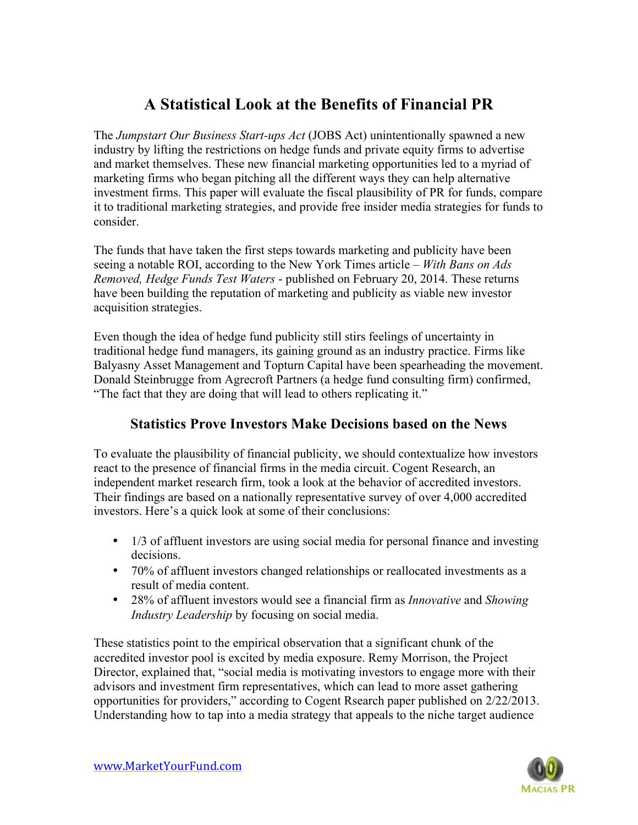## **A Statistical Look at the Benefits of Financial PR**

The *Jumpstart Our Business Start-ups Act* (JOBS Act) unintentionally spawned a new industry by lifting the restrictions on hedge funds and private equity firms to advertise and market themselves. These new financial marketing opportunities led to a myriad of marketing firms who began pitching all the different ways they can help alternative investment firms. This paper will evaluate the fiscal plausibility of PR for funds, compare it to traditional marketing strategies, and provide free insider media strategies for funds to consider.

The funds that have taken the first steps towards marketing and publicity have been seeing a notable ROI, according to the New York Times article – *With Bans on Ads Removed, Hedge Funds Test Waters* - published on February 20, 2014. These returns have been building the reputation of marketing and publicity as viable new investor acquisition strategies.

Even though the idea of hedge fund publicity still stirs feelings of uncertainty in traditional hedge fund managers, its gaining ground as an industry practice. Firms like Balyasny Asset Management and Topturn Capital have been spearheading the movement. Donald Steinbrugge from Agrecroft Partners (a hedge fund consulting firm) confirmed, "The fact that they are doing that will lead to others replicating it."

#### **Statistics Prove Investors Make Decisions based on the News**

To evaluate the plausibility of financial publicity, we should contextualize how investors react to the presence of financial firms in the media circuit. Cogent Research, an independent market research firm, took a look at the behavior of accredited investors. Their findings are based on a nationally representative survey of over 4,000 accredited investors. Here's a quick look at some of their conclusions:

- 1/3 of affluent investors are using social media for personal finance and investing decisions.
- 70% of affluent investors changed relationships or reallocated investments as a result of media content.
- 28% of affluent investors would see a financial firm as *Innovative* and *Showing Industry Leadership* by focusing on social media.

These statistics point to the empirical observation that a significant chunk of the accredited investor pool is excited by media exposure. Remy Morrison, the Project Director, explained that, "social media is motivating investors to engage more with their advisors and investment firm representatives, which can lead to more asset gathering opportunities for providers," according to Cogent Rsearch paper published on 2/22/2013. Understanding how to tap into a media strategy that appeals to the niche target audience

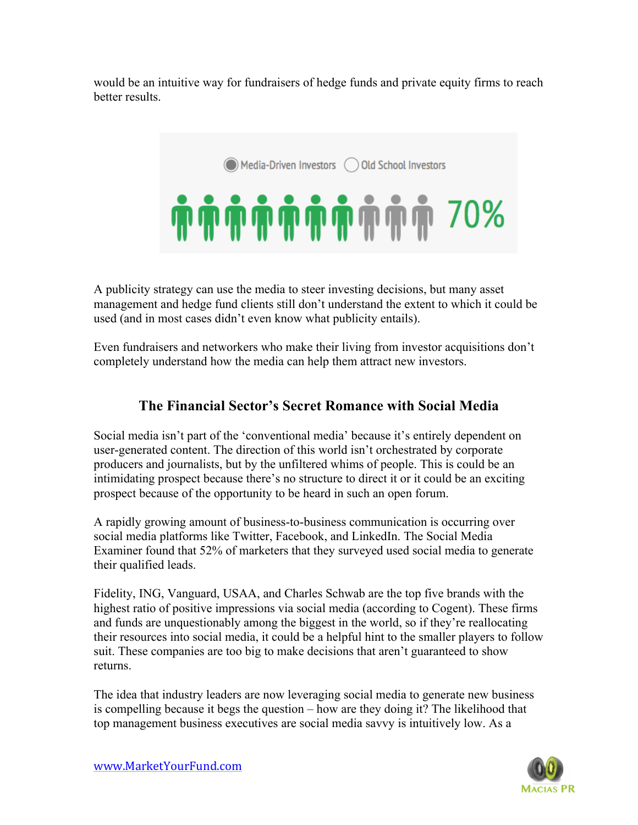would be an intuitive way for fundraisers of hedge funds and private equity firms to reach better results.

Media-Driven Investors (Cald School Investors

**TH TH TH TH TH TH TH TH TH TH TH TH** 

A publicity strategy can use the media to steer investing decisions, but many asset management and hedge fund clients still don't understand the extent to which it could be used (and in most cases didn't even know what publicity entails).

Even fundraisers and networkers who make their living from investor acquisitions don't completely understand how the media can help them attract new investors.

#### **The Financial Sector's Secret Romance with Social Media**

Social media isn't part of the 'conventional media' because it's entirely dependent on user-generated content. The direction of this world isn't orchestrated by corporate producers and journalists, but by the unfiltered whims of people. This is could be an intimidating prospect because there's no structure to direct it or it could be an exciting prospect because of the opportunity to be heard in such an open forum.

A rapidly growing amount of business-to-business communication is occurring over social media platforms like Twitter, Facebook, and LinkedIn. The Social Media Examiner found that 52% of marketers that they surveyed used social media to generate their qualified leads.

Fidelity, ING, Vanguard, USAA, and Charles Schwab are the top five brands with the highest ratio of positive impressions via social media (according to Cogent). These firms and funds are unquestionably among the biggest in the world, so if they're reallocating their resources into social media, it could be a helpful hint to the smaller players to follow suit. These companies are too big to make decisions that aren't guaranteed to show returns.

The idea that industry leaders are now leveraging social media to generate new business is compelling because it begs the question – how are they doing it? The likelihood that top management business executives are social media savvy is intuitively low. As a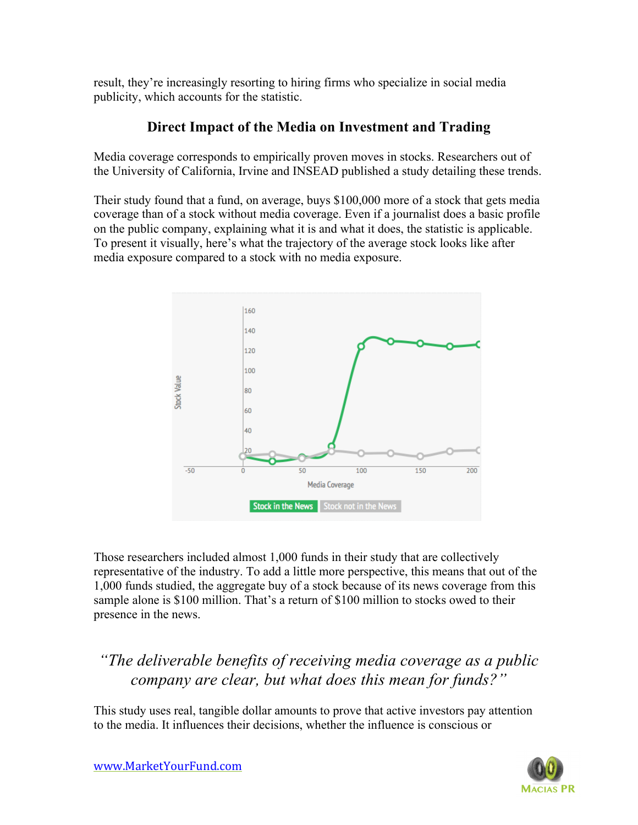result, they're increasingly resorting to hiring firms who specialize in social media publicity, which accounts for the statistic.

#### **Direct Impact of the Media on Investment and Trading**

Media coverage corresponds to empirically proven moves in stocks. Researchers out of the University of California, Irvine and INSEAD published a study detailing these trends.

Their study found that a fund, on average, buys \$100,000 more of a stock that gets media coverage than of a stock without media coverage. Even if a journalist does a basic profile on the public company, explaining what it is and what it does, the statistic is applicable. To present it visually, here's what the trajectory of the average stock looks like after media exposure compared to a stock with no media exposure.



Those researchers included almost 1,000 funds in their study that are collectively representative of the industry. To add a little more perspective, this means that out of the 1,000 funds studied, the aggregate buy of a stock because of its news coverage from this sample alone is \$100 million. That's a return of \$100 million to stocks owed to their presence in the news.

# *"The deliverable benefits of receiving media coverage as a public company are clear, but what does this mean for funds?"*

This study uses real, tangible dollar amounts to prove that active investors pay attention to the media. It influences their decisions, whether the influence is conscious or

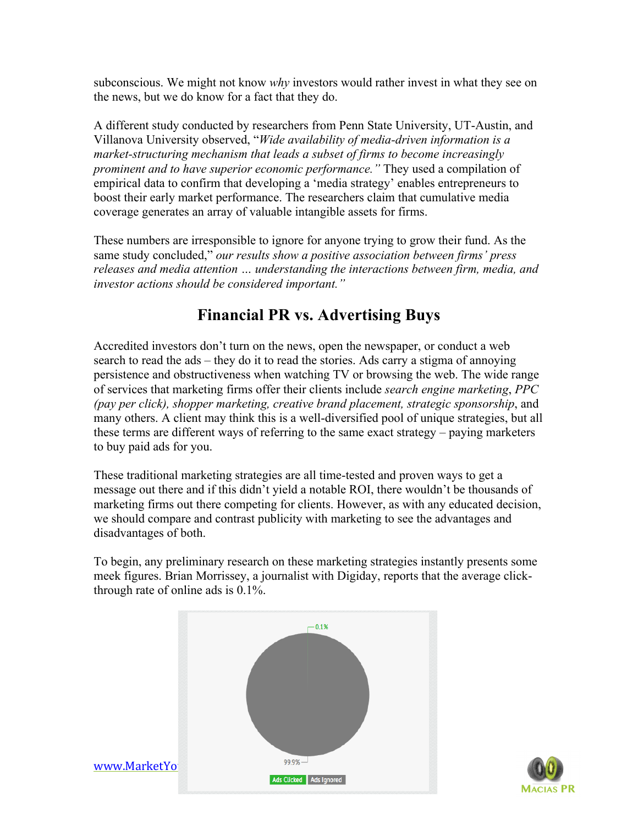subconscious. We might not know *why* investors would rather invest in what they see on the news, but we do know for a fact that they do.

A different study conducted by researchers from Penn State University, UT-Austin, and Villanova University observed, "*Wide availability of media-driven information is a market-structuring mechanism that leads a subset of firms to become increasingly prominent and to have superior economic performance."* They used a compilation of empirical data to confirm that developing a 'media strategy' enables entrepreneurs to boost their early market performance. The researchers claim that cumulative media coverage generates an array of valuable intangible assets for firms.

These numbers are irresponsible to ignore for anyone trying to grow their fund. As the same study concluded," *our results show a positive association between firms' press releases and media attention … understanding the interactions between firm, media, and investor actions should be considered important."*

## **Financial PR vs. Advertising Buys**

Accredited investors don't turn on the news, open the newspaper, or conduct a web search to read the ads – they do it to read the stories. Ads carry a stigma of annoying persistence and obstructiveness when watching TV or browsing the web. The wide range of services that marketing firms offer their clients include *search engine marketing*, *PPC (pay per click), shopper marketing, creative brand placement, strategic sponsorship*, and many others. A client may think this is a well-diversified pool of unique strategies, but all these terms are different ways of referring to the same exact strategy – paying marketers to buy paid ads for you.

These traditional marketing strategies are all time-tested and proven ways to get a message out there and if this didn't yield a notable ROI, there wouldn't be thousands of marketing firms out there competing for clients. However, as with any educated decision, we should compare and contrast publicity with marketing to see the advantages and disadvantages of both.

To begin, any preliminary research on these marketing strategies instantly presents some meek figures. Brian Morrissey, a journalist with Digiday, reports that the average clickthrough rate of online ads is 0.1%.



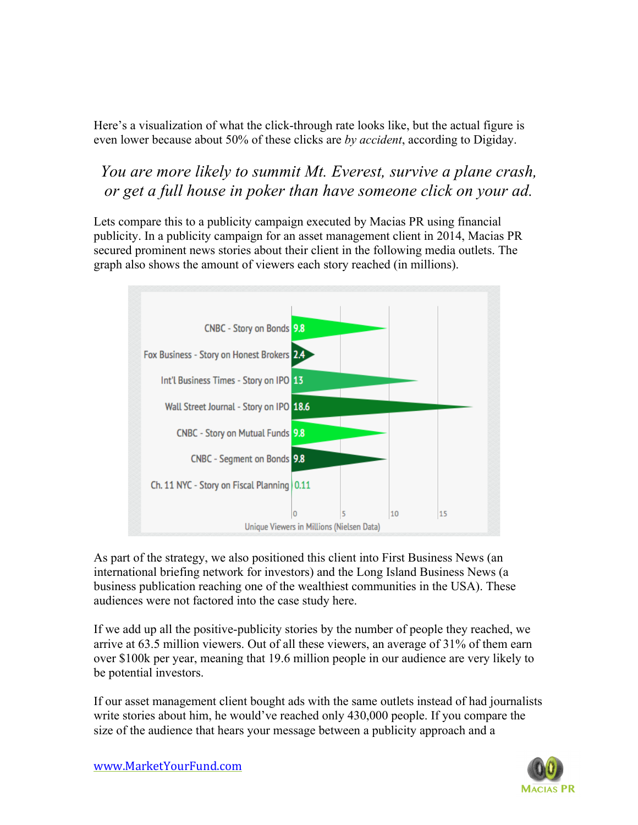Here's a visualization of what the click-through rate looks like, but the actual figure is even lower because about 50% of these clicks are *by accident*, according to Digiday.

## *You are more likely to summit Mt. Everest, survive a plane crash, or get a full house in poker than have someone click on your ad.*

Lets compare this to a publicity campaign executed by Macias PR using financial publicity. In a publicity campaign for an asset management client in 2014, Macias PR secured prominent news stories about their client in the following media outlets. The graph also shows the amount of viewers each story reached (in millions).



As part of the strategy, we also positioned this client into First Business News (an international briefing network for investors) and the Long Island Business News (a business publication reaching one of the wealthiest communities in the USA). These audiences were not factored into the case study here.

If we add up all the positive-publicity stories by the number of people they reached, we arrive at 63.5 million viewers. Out of all these viewers, an average of 31% of them earn over \$100k per year, meaning that 19.6 million people in our audience are very likely to be potential investors.

If our asset management client bought ads with the same outlets instead of had journalists write stories about him, he would've reached only 430,000 people. If you compare the size of the audience that hears your message between a publicity approach and a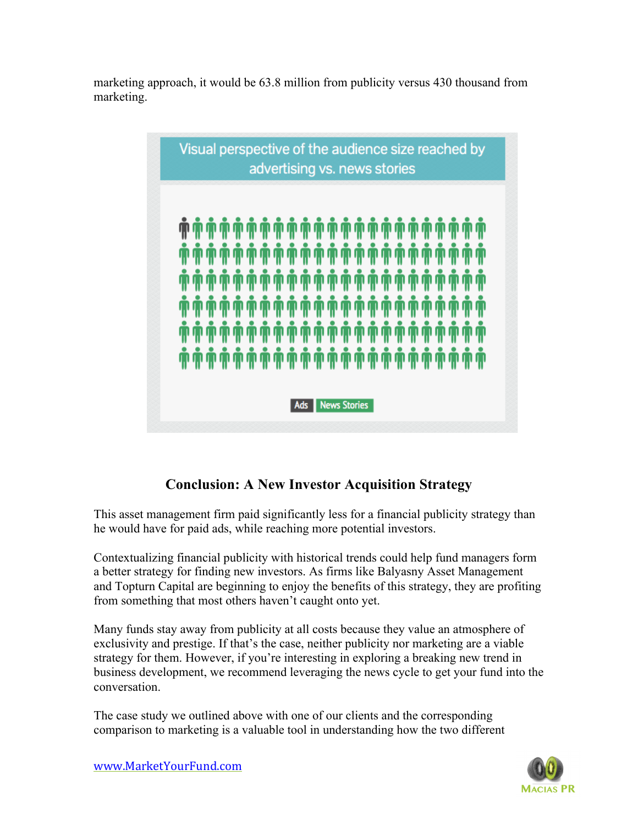marketing approach, it would be 63.8 million from publicity versus 430 thousand from marketing.



#### **Conclusion: A New Investor Acquisition Strategy**

This asset management firm paid significantly less for a financial publicity strategy than he would have for paid ads, while reaching more potential investors.

Contextualizing financial publicity with historical trends could help fund managers form a better strategy for finding new investors. As firms like Balyasny Asset Management and Topturn Capital are beginning to enjoy the benefits of this strategy, they are profiting from something that most others haven't caught onto yet.

Many funds stay away from publicity at all costs because they value an atmosphere of exclusivity and prestige. If that's the case, neither publicity nor marketing are a viable strategy for them. However, if you're interesting in exploring a breaking new trend in business development, we recommend leveraging the news cycle to get your fund into the conversation.

The case study we outlined above with one of our clients and the corresponding comparison to marketing is a valuable tool in understanding how the two different